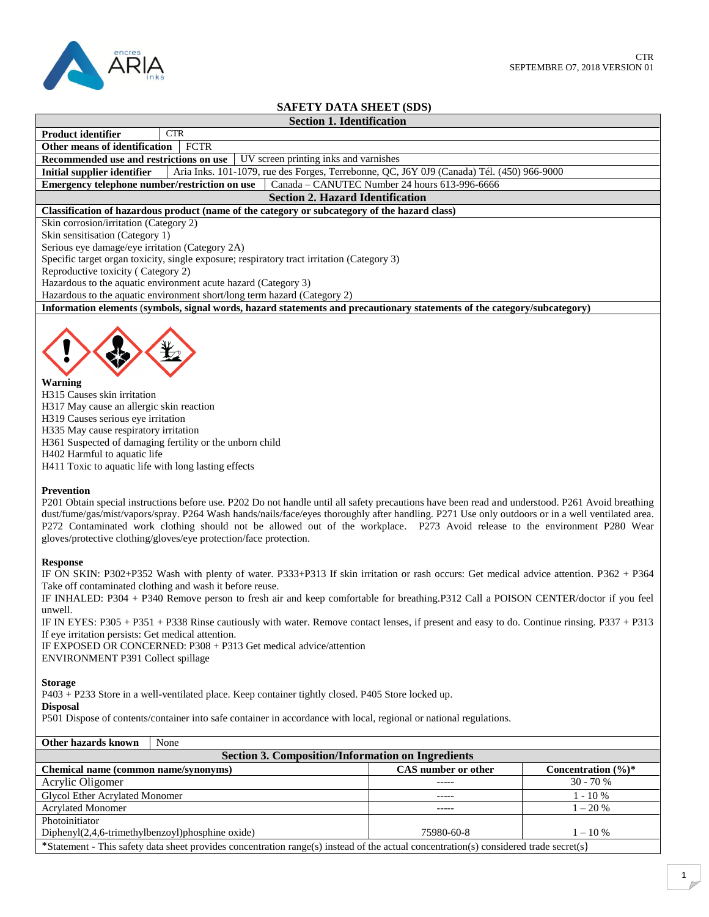

# **SAFETY DATA SHEET (SDS)**

# **Section 1. Identification**

**Product identifier** CTR **Other means of identification** FCTR

**Recommended use and restrictions on use** UV screen printing inks and varnishes

**Initial supplier identifier** Aria Inks. 101-1079, rue des Forges, Terrebonne, QC, J6Y 0J9 (Canada) Tél. (450) 966-9000<br>**Emergency telephone number/restriction on use** Canada – CANUTEC Number 24 hours 613-996-6666

**Emergency telephone number/restriction on use** 

**Section 2. Hazard Identification**

#### **Classification of hazardous product (name of the category or subcategory of the hazard class)**

Skin corrosion/irritation (Category 2)

Skin sensitisation (Category 1)

Serious eye damage/eye irritation (Category 2A)

Specific target organ toxicity, single exposure; respiratory tract irritation (Category 3)

Reproductive toxicity ( Category 2)

Hazardous to the aquatic environment acute hazard (Category 3)

Hazardous to the aquatic environment short/long term hazard (Category 2)

**Information elements** (**symbols, signal words, hazard statements and precautionary statements of the category/subcategory)**



**Warning** H315 Causes skin irritation H317 May cause an allergic skin reaction H319 Causes serious eye irritation H335 May cause respiratory irritation H361 Suspected of damaging fertility or the unborn child H402 Harmful to aquatic life H411 Toxic to aquatic life with long lasting effects

#### **Prevention**

P201 Obtain special instructions before use. P202 Do not handle until all safety precautions have been read and understood. P261 Avoid breathing dust/fume/gas/mist/vapors/spray. P264 Wash hands/nails/face/eyes thoroughly after handling. P271 Use only outdoors or in a well ventilated area. P272 Contaminated work clothing should not be allowed out of the workplace. P273 Avoid release to the environment P280 Wear gloves/protective clothing/gloves/eye protection/face protection.

#### **Response**

IF ON SKIN: P302+P352 Wash with plenty of water. P333+P313 If skin irritation or rash occurs: Get medical advice attention. P362 + P364 Take off contaminated clothing and wash it before reuse.

IF INHALED: P304 + P340 Remove person to fresh air and keep comfortable for breathing.P312 Call a POISON CENTER/doctor if you feel unwell.

IF IN EYES: P305 + P351 + P338 Rinse cautiously with water. Remove contact lenses, if present and easy to do. Continue rinsing. P337 + P313 If eye irritation persists: Get medical attention.

IF EXPOSED OR CONCERNED: P308 + P313 Get medical advice/attention ENVIRONMENT P391 Collect spillage

#### **Storage**

P403 + P233 Store in a well-ventilated place. Keep container tightly closed. P405 Store locked up.

### **Disposal**

P501 Dispose of contents/container into safe container in accordance with local, regional or national regulations.

| <b>Section 3. Composition/Information on Ingredients</b>                                                                              |                     |                                 |  |  |  |
|---------------------------------------------------------------------------------------------------------------------------------------|---------------------|---------------------------------|--|--|--|
| Chemical name (common name/synonyms)                                                                                                  | CAS number or other | Concentration $(\frac{6}{6})^*$ |  |  |  |
| Acrylic Oligomer                                                                                                                      |                     | $30 - 70%$                      |  |  |  |
| Glycol Ether Acrylated Monomer                                                                                                        |                     | $1 - 10\%$                      |  |  |  |
| <b>Acrylated Monomer</b>                                                                                                              | -----               | $1 - 20\%$                      |  |  |  |
| Photoinitiator                                                                                                                        |                     |                                 |  |  |  |
| $Diphenyl(2,4,6-trimethylbenzoyl)phosphine oxide)$                                                                                    | 75980-60-8          | $1 - 10\%$                      |  |  |  |
| *Statement - This safety data sheet provides concentration range(s) instead of the actual concentration(s) considered trade secret(s) |                     |                                 |  |  |  |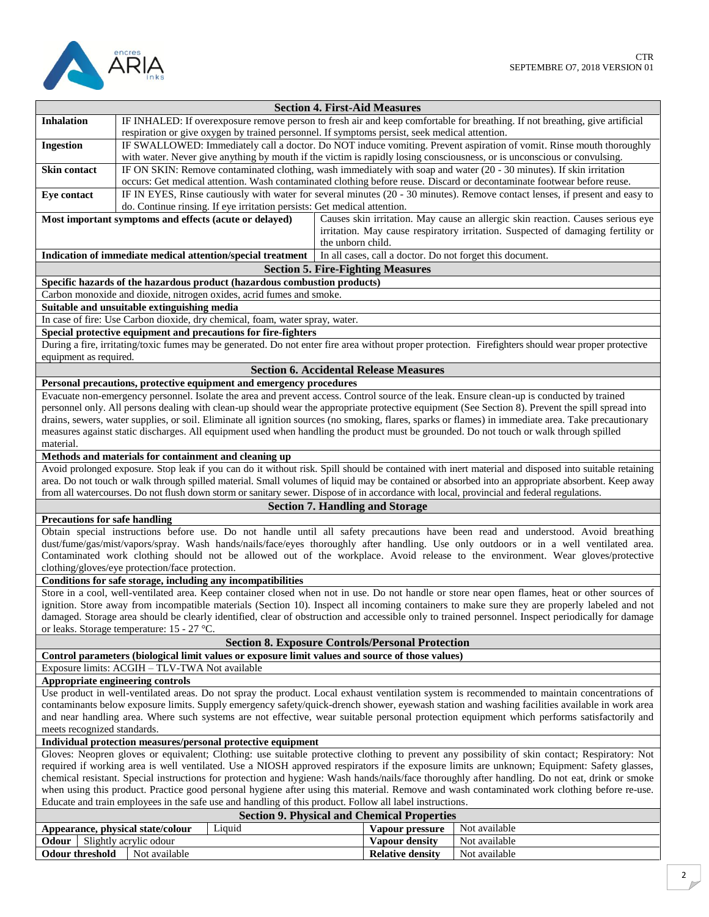

| <b>Section 4. First-Aid Measures</b><br>IF INHALED: If overexposure remove person to fresh air and keep comfortable for breathing. If not breathing, give artificial<br><b>Inhalation</b> |                                                                                                                                                       |                   |                                               |                                                                                  |
|-------------------------------------------------------------------------------------------------------------------------------------------------------------------------------------------|-------------------------------------------------------------------------------------------------------------------------------------------------------|-------------------|-----------------------------------------------|----------------------------------------------------------------------------------|
|                                                                                                                                                                                           | respiration or give oxygen by trained personnel. If symptoms persist, seek medical attention.                                                         |                   |                                               |                                                                                  |
| <b>Ingestion</b>                                                                                                                                                                          | IF SWALLOWED: Immediately call a doctor. Do NOT induce vomiting. Prevent aspiration of vomit. Rinse mouth thoroughly                                  |                   |                                               |                                                                                  |
|                                                                                                                                                                                           | with water. Never give anything by mouth if the victim is rapidly losing consciousness, or is unconscious or convulsing.                              |                   |                                               |                                                                                  |
| Skin contact                                                                                                                                                                              | IF ON SKIN: Remove contaminated clothing, wash immediately with soap and water (20 - 30 minutes). If skin irritation                                  |                   |                                               |                                                                                  |
|                                                                                                                                                                                           | occurs: Get medical attention. Wash contaminated clothing before reuse. Discard or decontaminate footwear before reuse.                               |                   |                                               |                                                                                  |
| Eye contact                                                                                                                                                                               | IF IN EYES, Rinse cautiously with water for several minutes (20 - 30 minutes). Remove contact lenses, if present and easy to                          |                   |                                               |                                                                                  |
|                                                                                                                                                                                           | do. Continue rinsing. If eye irritation persists: Get medical attention.                                                                              |                   |                                               |                                                                                  |
|                                                                                                                                                                                           | Most important symptoms and effects (acute or delayed)                                                                                                |                   |                                               | Causes skin irritation. May cause an allergic skin reaction. Causes serious eye  |
|                                                                                                                                                                                           |                                                                                                                                                       |                   |                                               | irritation. May cause respiratory irritation. Suspected of damaging fertility or |
|                                                                                                                                                                                           |                                                                                                                                                       | the unborn child. |                                               |                                                                                  |
|                                                                                                                                                                                           | Indication of immediate medical attention/special treatment                                                                                           |                   |                                               | In all cases, call a doctor. Do not forget this document.                        |
|                                                                                                                                                                                           |                                                                                                                                                       |                   | <b>Section 5. Fire-Fighting Measures</b>      |                                                                                  |
|                                                                                                                                                                                           | Specific hazards of the hazardous product (hazardous combustion products)                                                                             |                   |                                               |                                                                                  |
|                                                                                                                                                                                           | Carbon monoxide and dioxide, nitrogen oxides, acrid fumes and smoke.                                                                                  |                   |                                               |                                                                                  |
|                                                                                                                                                                                           | Suitable and unsuitable extinguishing media                                                                                                           |                   |                                               |                                                                                  |
|                                                                                                                                                                                           |                                                                                                                                                       |                   |                                               |                                                                                  |
|                                                                                                                                                                                           | In case of fire: Use Carbon dioxide, dry chemical, foam, water spray, water.                                                                          |                   |                                               |                                                                                  |
|                                                                                                                                                                                           | Special protective equipment and precautions for fire-fighters                                                                                        |                   |                                               |                                                                                  |
|                                                                                                                                                                                           | During a fire, irritating/toxic fumes may be generated. Do not enter fire area without proper protection. Firefighters should wear proper protective  |                   |                                               |                                                                                  |
| equipment as required.                                                                                                                                                                    |                                                                                                                                                       |                   |                                               |                                                                                  |
|                                                                                                                                                                                           |                                                                                                                                                       |                   | <b>Section 6. Accidental Release Measures</b> |                                                                                  |
|                                                                                                                                                                                           | Personal precautions, protective equipment and emergency procedures                                                                                   |                   |                                               |                                                                                  |
|                                                                                                                                                                                           | Evacuate non-emergency personnel. Isolate the area and prevent access. Control source of the leak. Ensure clean-up is conducted by trained            |                   |                                               |                                                                                  |
|                                                                                                                                                                                           | personnel only. All persons dealing with clean-up should wear the appropriate protective equipment (See Section 8). Prevent the spill spread into     |                   |                                               |                                                                                  |
|                                                                                                                                                                                           | drains, sewers, water supplies, or soil. Eliminate all ignition sources (no smoking, flares, sparks or flames) in immediate area. Take precautionary  |                   |                                               |                                                                                  |
|                                                                                                                                                                                           | measures against static discharges. All equipment used when handling the product must be grounded. Do not touch or walk through spilled               |                   |                                               |                                                                                  |
| material.                                                                                                                                                                                 |                                                                                                                                                       |                   |                                               |                                                                                  |
|                                                                                                                                                                                           | Methods and materials for containment and cleaning up                                                                                                 |                   |                                               |                                                                                  |
|                                                                                                                                                                                           | Avoid prolonged exposure. Stop leak if you can do it without risk. Spill should be contained with inert material and disposed into suitable retaining |                   |                                               |                                                                                  |
|                                                                                                                                                                                           | area. Do not touch or walk through spilled material. Small volumes of liquid may be contained or absorbed into an appropriate absorbent. Keep away    |                   |                                               |                                                                                  |
|                                                                                                                                                                                           | from all watercourses. Do not flush down storm or sanitary sewer. Dispose of in accordance with local, provincial and federal regulations.            |                   |                                               |                                                                                  |
|                                                                                                                                                                                           |                                                                                                                                                       |                   | <b>Section 7. Handling and Storage</b>        |                                                                                  |
| <b>Precautions for safe handling</b>                                                                                                                                                      |                                                                                                                                                       |                   |                                               |                                                                                  |
|                                                                                                                                                                                           | Obtain special instructions before use. Do not handle until all safety precautions have been read and understood. Avoid breathing                     |                   |                                               |                                                                                  |
|                                                                                                                                                                                           | dust/fume/gas/mist/vapors/spray. Wash hands/nails/face/eyes thoroughly after handling. Use only outdoors or in a well ventilated area.                |                   |                                               |                                                                                  |
|                                                                                                                                                                                           | Contaminated work clothing should not be allowed out of the workplace. Avoid release to the environment. Wear gloves/protective                       |                   |                                               |                                                                                  |
|                                                                                                                                                                                           | clothing/gloves/eye protection/face protection.                                                                                                       |                   |                                               |                                                                                  |
| Conditions for safe storage, including any incompatibilities                                                                                                                              |                                                                                                                                                       |                   |                                               |                                                                                  |
| Store in a cool, well-ventilated area. Keep container closed when not in use. Do not handle or store near open flames, heat or other sources of                                           |                                                                                                                                                       |                   |                                               |                                                                                  |
| ignition. Store away from incompatible materials (Section 10). Inspect all incoming containers to make sure they are properly labeled and not                                             |                                                                                                                                                       |                   |                                               |                                                                                  |
| damaged. Storage area should be clearly identified, clear of obstruction and accessible only to trained personnel. Inspect periodically for damage                                        |                                                                                                                                                       |                   |                                               |                                                                                  |
| or leaks. Storage temperature: 15 - 27 °C.                                                                                                                                                |                                                                                                                                                       |                   |                                               |                                                                                  |
| <b>Section 8. Exposure Controls/Personal Protection</b>                                                                                                                                   |                                                                                                                                                       |                   |                                               |                                                                                  |
| Control parameters (biological limit values or exposure limit values and source of those values)                                                                                          |                                                                                                                                                       |                   |                                               |                                                                                  |
| Exposure limits: ACGIH - TLV-TWA Not available                                                                                                                                            |                                                                                                                                                       |                   |                                               |                                                                                  |
|                                                                                                                                                                                           | Appropriate engineering controls                                                                                                                      |                   |                                               |                                                                                  |
|                                                                                                                                                                                           | Use product in well-ventilated areas. Do not spray the product. Local exhaust ventilation system is recommended to maintain concentrations of         |                   |                                               |                                                                                  |
| contaminants below exposure limits. Supply emergency safety/quick-drench shower, eyewash station and washing facilities available in work area                                            |                                                                                                                                                       |                   |                                               |                                                                                  |
| and near handling area. Where such systems are not effective, wear suitable personal protection equipment which performs satisfactorily and                                               |                                                                                                                                                       |                   |                                               |                                                                                  |
| meets recognized standards.                                                                                                                                                               |                                                                                                                                                       |                   |                                               |                                                                                  |
| Individual protection measures/personal protective equipment                                                                                                                              |                                                                                                                                                       |                   |                                               |                                                                                  |
| Gloves: Neopren gloves or equivalent; Clothing: use suitable protective clothing to prevent any possibility of skin contact; Respiratory: Not                                             |                                                                                                                                                       |                   |                                               |                                                                                  |
| required if working area is well ventilated. Use a NIOSH approved respirators if the exposure limits are unknown; Equipment: Safety glasses,                                              |                                                                                                                                                       |                   |                                               |                                                                                  |
| chemical resistant. Special instructions for protection and hygiene: Wash hands/nails/face thoroughly after handling. Do not eat, drink or smoke                                          |                                                                                                                                                       |                   |                                               |                                                                                  |
| when using this product. Practice good personal hygiene after using this material. Remove and wash contaminated work clothing before re-use.                                              |                                                                                                                                                       |                   |                                               |                                                                                  |
|                                                                                                                                                                                           | Educate and train employees in the safe use and handling of this product. Follow all label instructions.                                              |                   |                                               |                                                                                  |
| <b>Section 9. Physical and Chemical Properties</b>                                                                                                                                        |                                                                                                                                                       |                   |                                               |                                                                                  |
| Liquid<br>Not available<br>Appearance, physical state/colour<br>Vapour pressure                                                                                                           |                                                                                                                                                       |                   |                                               |                                                                                  |
| Odour                                                                                                                                                                                     | Slightly acrylic odour                                                                                                                                |                   | Vapour density                                | Not available                                                                    |
| <b>Odour threshold</b>                                                                                                                                                                    | Not available                                                                                                                                         |                   | <b>Relative density</b>                       | Not available                                                                    |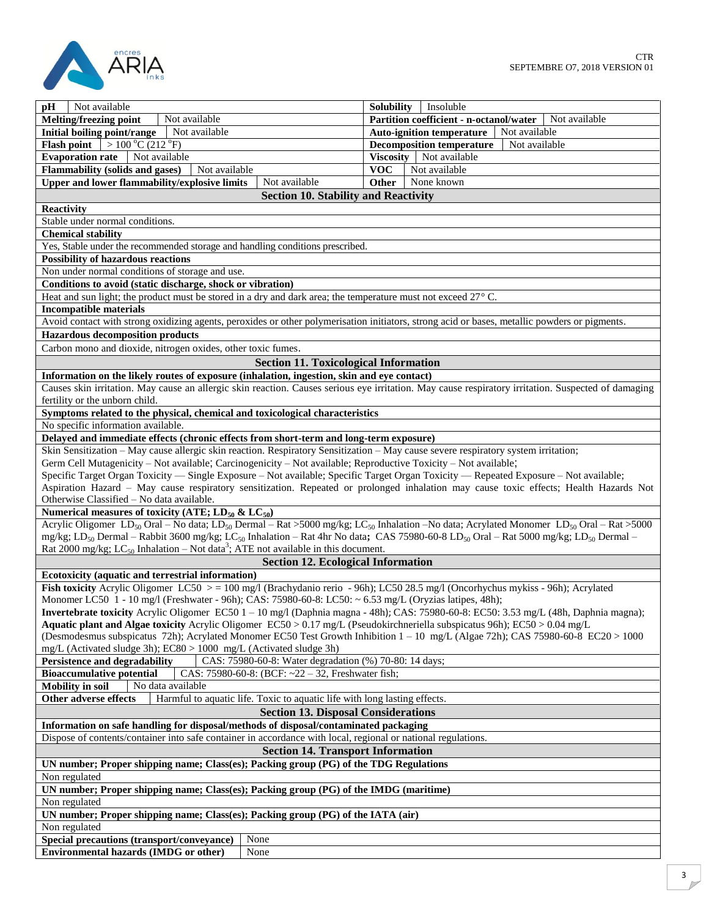

| Not available<br>pH                                                                                                                                                                       | <b>Solubility</b><br>Insoluble                               |  |  |
|-------------------------------------------------------------------------------------------------------------------------------------------------------------------------------------------|--------------------------------------------------------------|--|--|
| Melting/freezing point<br>Not available                                                                                                                                                   | <b>Partition coefficient - n-octanol/water</b> Not available |  |  |
| Initial boiling point/range<br>Not available                                                                                                                                              | <b>Auto-ignition temperature</b><br>Not available            |  |  |
| $>100\degree C(212\degree F)$<br><b>Flash point</b>                                                                                                                                       | <b>Decomposition temperature</b><br>Not available            |  |  |
| <b>Evaporation rate</b><br>Not available                                                                                                                                                  | Viscosity  <br>Not available                                 |  |  |
| <b>Flammability (solids and gases)</b><br>Not available                                                                                                                                   | <b>VOC</b><br>Not available                                  |  |  |
| Upper and lower flammability/explosive limits<br>Not available                                                                                                                            | <b>Other</b><br>None known                                   |  |  |
| <b>Section 10. Stability and Reactivity</b>                                                                                                                                               |                                                              |  |  |
|                                                                                                                                                                                           |                                                              |  |  |
| Reactivity                                                                                                                                                                                |                                                              |  |  |
| Stable under normal conditions.                                                                                                                                                           |                                                              |  |  |
| <b>Chemical stability</b>                                                                                                                                                                 |                                                              |  |  |
| Yes, Stable under the recommended storage and handling conditions prescribed.                                                                                                             |                                                              |  |  |
| <b>Possibility of hazardous reactions</b>                                                                                                                                                 |                                                              |  |  |
| Non under normal conditions of storage and use.                                                                                                                                           |                                                              |  |  |
| Conditions to avoid (static discharge, shock or vibration)                                                                                                                                |                                                              |  |  |
| Heat and sun light; the product must be stored in a dry and dark area; the temperature must not exceed $27^{\circ}$ C.                                                                    |                                                              |  |  |
| <b>Incompatible materials</b>                                                                                                                                                             |                                                              |  |  |
| Avoid contact with strong oxidizing agents, peroxides or other polymerisation initiators, strong acid or bases, metallic powders or pigments.                                             |                                                              |  |  |
| <b>Hazardous decomposition products</b>                                                                                                                                                   |                                                              |  |  |
| Carbon mono and dioxide, nitrogen oxides, other toxic fumes.                                                                                                                              |                                                              |  |  |
| <b>Section 11. Toxicological Information</b>                                                                                                                                              |                                                              |  |  |
| Information on the likely routes of exposure (inhalation, ingestion, skin and eye contact)                                                                                                |                                                              |  |  |
| Causes skin irritation. May cause an allergic skin reaction. Causes serious eye irritation. May cause respiratory irritation. Suspected of damaging                                       |                                                              |  |  |
| fertility or the unborn child.                                                                                                                                                            |                                                              |  |  |
| Symptoms related to the physical, chemical and toxicological characteristics                                                                                                              |                                                              |  |  |
| No specific information available.                                                                                                                                                        |                                                              |  |  |
| Delayed and immediate effects (chronic effects from short-term and long-term exposure)                                                                                                    |                                                              |  |  |
| Skin Sensitization – May cause allergic skin reaction. Respiratory Sensitization – May cause severe respiratory system irritation;                                                        |                                                              |  |  |
| Germ Cell Mutagenicity – Not available; Carcinogenicity – Not available; Reproductive Toxicity – Not available;                                                                           |                                                              |  |  |
| Specific Target Organ Toxicity — Single Exposure - Not available; Specific Target Organ Toxicity — Repeated Exposure - Not available;                                                     |                                                              |  |  |
| Aspiration Hazard - May cause respiratory sensitization. Repeated or prolonged inhalation may cause toxic effects; Health Hazards Not                                                     |                                                              |  |  |
| Otherwise Classified - No data available.                                                                                                                                                 |                                                              |  |  |
| Numerical measures of toxicity (ATE; $LD_{50}$ & $LC_{50}$ )                                                                                                                              |                                                              |  |  |
| Acrylic Oligomer LD <sub>50</sub> Oral – No data; LD <sub>50</sub> Dermal – Rat > 5000 mg/kg; LC <sub>50</sub> Inhalation – No data; Acrylated Monomer LD <sub>50</sub> Oral – Rat > 5000 |                                                              |  |  |
| mg/kg; LD <sub>50</sub> Dermal – Rabbit 3600 mg/kg; LC <sub>50</sub> Inhalation – Rat 4hr No data; CAS 75980-60-8 LD <sub>50</sub> Oral – Rat 5000 mg/kg; LD <sub>50</sub> Dermal –       |                                                              |  |  |
| Rat 2000 mg/kg; LC <sub>50</sub> Inhalation – Not data <sup>3</sup> ; ATE not available in this document.                                                                                 |                                                              |  |  |
| <b>Section 12. Ecological Information</b>                                                                                                                                                 |                                                              |  |  |
| Ecotoxicity (aquatic and terrestrial information)                                                                                                                                         |                                                              |  |  |
| Fish toxicity Acrylic Oligomer LC50 $> = 100$ mg/l (Brachydanio rerio - 96h); LC50 28.5 mg/l (Oncorhychus mykiss - 96h); Acrylated                                                        |                                                              |  |  |
| Monomer LC50 1 - 10 mg/l (Freshwater - 96h); CAS: 75980-60-8: LC50: ~ 6.53 mg/L (Oryzias latipes, 48h);                                                                                   |                                                              |  |  |
| Invertebrate toxicity Acrylic Oligomer EC50 1 - 10 mg/l (Daphnia magna - 48h); CAS: 75980-60-8: EC50: 3.53 mg/L (48h, Daphnia magna);                                                     |                                                              |  |  |
| Aquatic plant and Algae toxicity Acrylic Oligomer EC50 > 0.17 mg/L (Pseudokirchneriella subspicatus 96h); EC50 > 0.04 mg/L                                                                |                                                              |  |  |
| (Desmodesmus subspicatus 72h); Acrylated Monomer EC50 Test Growth Inhibition 1 - 10 mg/L (Algae 72h); CAS 75980-60-8 EC20 > 1000                                                          |                                                              |  |  |
| mg/L (Activated sludge 3h); $EC80 > 1000$ mg/L (Activated sludge 3h)                                                                                                                      |                                                              |  |  |
| CAS: 75980-60-8: Water degradation (%) 70-80: 14 days;<br>Persistence and degradability                                                                                                   |                                                              |  |  |
| <b>Bioaccumulative potential</b><br>CAS: 75980-60-8: (BCF: $\sim$ 22 - 32, Freshwater fish;                                                                                               |                                                              |  |  |
| No data available<br><b>Mobility</b> in soil                                                                                                                                              |                                                              |  |  |
| Harmful to aquatic life. Toxic to aquatic life with long lasting effects.<br>Other adverse effects                                                                                        |                                                              |  |  |
| <b>Section 13. Disposal Considerations</b>                                                                                                                                                |                                                              |  |  |
| Information on safe handling for disposal/methods of disposal/contaminated packaging                                                                                                      |                                                              |  |  |
| Dispose of contents/container into safe container in accordance with local, regional or national regulations.                                                                             |                                                              |  |  |
| <b>Section 14. Transport Information</b>                                                                                                                                                  |                                                              |  |  |
| UN number; Proper shipping name; Class(es); Packing group (PG) of the TDG Regulations                                                                                                     |                                                              |  |  |
| Non regulated                                                                                                                                                                             |                                                              |  |  |
| UN number; Proper shipping name; Class(es); Packing group (PG) of the IMDG (maritime)                                                                                                     |                                                              |  |  |
| Non regulated                                                                                                                                                                             |                                                              |  |  |
| UN number; Proper shipping name; Class(es); Packing group (PG) of the IATA (air)                                                                                                          |                                                              |  |  |
| Non regulated                                                                                                                                                                             |                                                              |  |  |
| Special precautions (transport/conveyance)<br>None                                                                                                                                        |                                                              |  |  |
| <b>Environmental hazards (IMDG or other)</b><br>None                                                                                                                                      |                                                              |  |  |
|                                                                                                                                                                                           |                                                              |  |  |